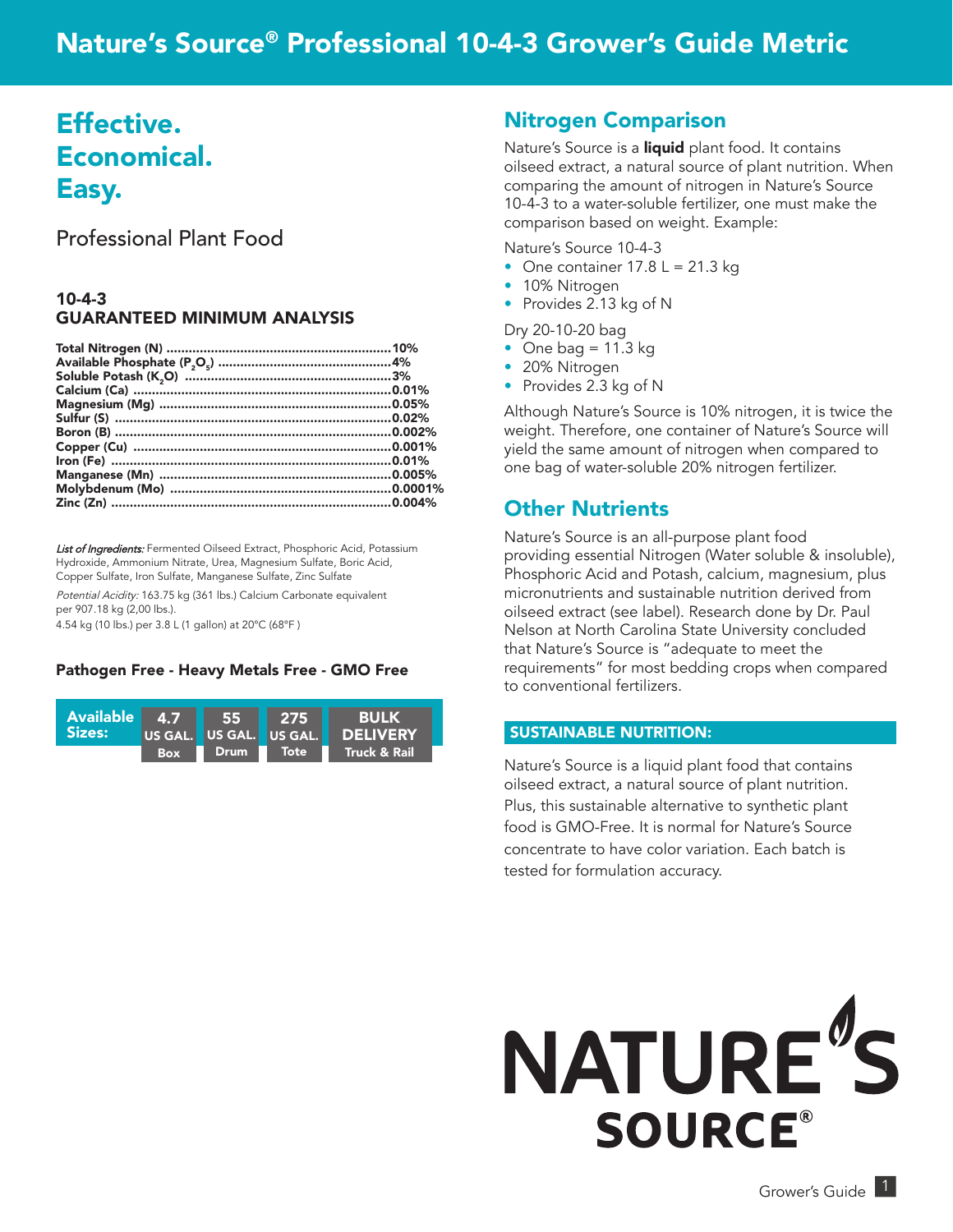# Nature's Source® Professional 10-4-3 Grower's Guide Metric

# Effective. Economical. Easy.

Professional Plant Food

#### 10-4-3 GUARANTEED MINIMUM ANALYSIS

List of Ingredients: Fermented Oilseed Extract, Phosphoric Acid, Potassium Hydroxide, Ammonium Nitrate, Urea, Magnesium Sulfate, Boric Acid, Copper Sulfate, Iron Sulfate, Manganese Sulfate, Zinc Sulfate

Potential Acidity: 163.75 kg (361 lbs.) Calcium Carbonate equivalent per 907.18 kg (2,00 lbs.). 4.54 kg (10 lbs.) per 3.8 L (1 gallon) at 20°C (68°F )

#### Pathogen Free - Heavy Metals Free - GMO Free



### Nitrogen Comparison

Nature's Source is a *liquid* plant food. It contains oilseed extract, a natural source of plant nutrition. When comparing the amount of nitrogen in Nature's Source 10-4-3 to a water-soluble fertilizer, one must make the comparison based on weight. Example:

Nature's Source 10-4-3

- One container  $17.8 L = 21.3 kg$
- 10% Nitrogen
- Provides 2.13 kg of N

Dry 20-10-20 bag

- One bag  $= 11.3$  kg
- 20% Nitrogen
- Provides 2.3 kg of N

Although Nature's Source is 10% nitrogen, it is twice the weight. Therefore, one container of Nature's Source will yield the same amount of nitrogen when compared to one bag of water-soluble 20% nitrogen fertilizer.

### Other Nutrients

Nature's Source is an all-purpose plant food providing essential Nitrogen (Water soluble & insoluble), Phosphoric Acid and Potash, calcium, magnesium, plus micronutrients and sustainable nutrition derived from oilseed extract (see label). Research done by Dr. Paul Nelson at North Carolina State University concluded that Nature's Source is "adequate to meet the requirements" for most bedding crops when compared to conventional fertilizers.

#### SUSTAINABLE NUTRITION:

Nature's Source is a liquid plant food that contains oilseed extract, a natural source of plant nutrition. Plus, this sustainable alternative to synthetic plant food is GMO-Free. It is normal for Nature's Source concentrate to have color variation. Each batch is tested for formulation accuracy.

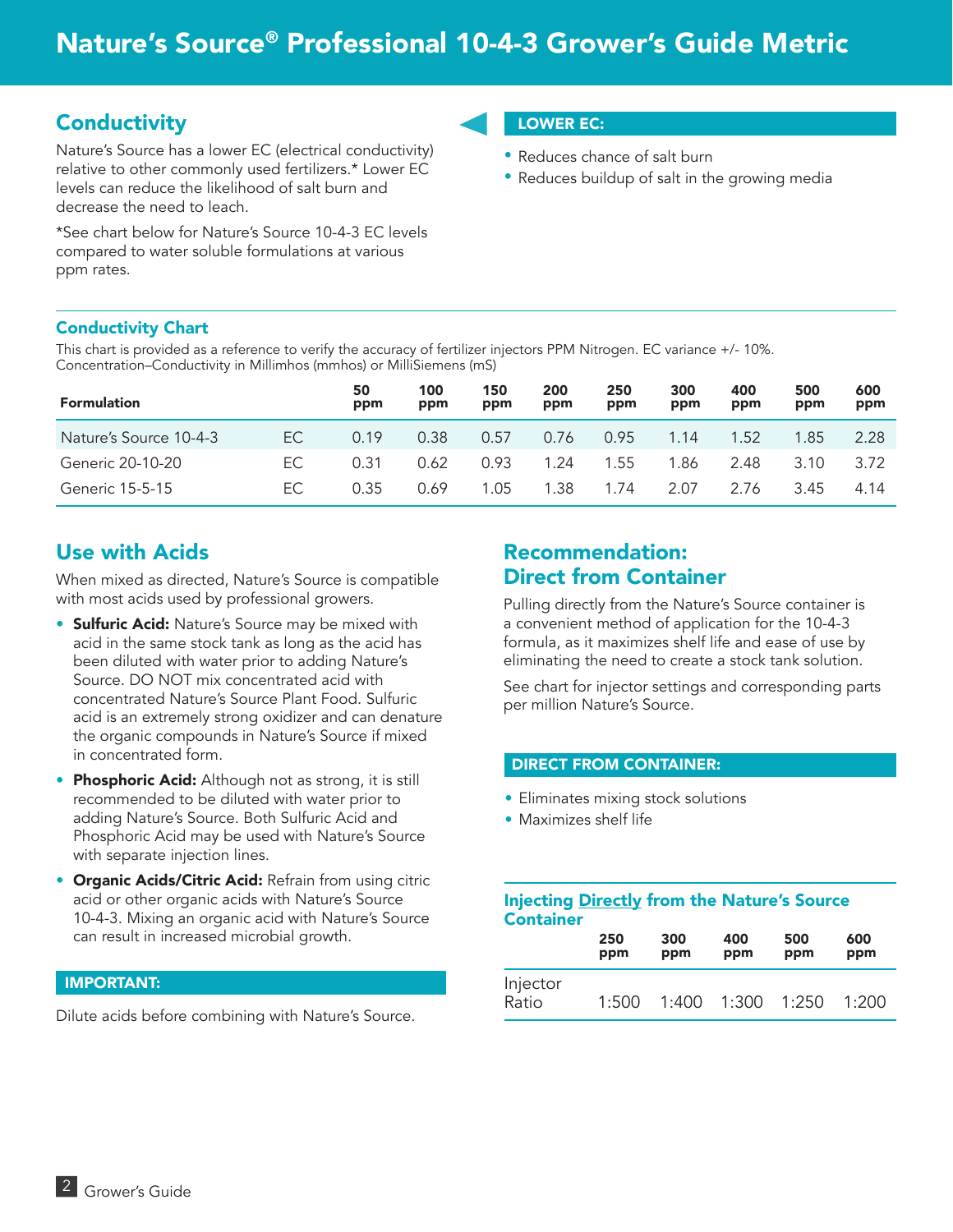# **Conductivity**

Nature's Source has a lower EC (electrical conductivity) relative to other commonly used fertilizers.\* Lower EC levels can reduce the likelihood of salt burn and decrease the need to leach.

\*See chart below for Nature's Source 10-4-3 EC levels compared to water soluble formulations at various ppm rates.

### LOWER EC:

- Reduces chance of salt burn
- Reduces buildup of salt in the growing media

#### Conductivity Chart

This chart is provided as a reference to verify the accuracy of fertilizer injectors PPM Nitrogen. EC variance +/- 10%. Concentration–Conductivity in Millimhos (mmhos) or MilliSiemens (mS)

| <b>Formulation</b>     |     | 50<br>ppm | 100<br>ppm | 150<br>ppm | 200<br>ppm | 250<br>ppm | 300<br>ppm | 400<br>ppm | 500<br>ppm | 600<br>ppm |
|------------------------|-----|-----------|------------|------------|------------|------------|------------|------------|------------|------------|
| Nature's Source 10-4-3 | EC. | 0.19      | 0.38       | 0.57       | 0.76       | 0.95       | 1.14       | 1.52       | 1.85       | 2.28       |
| Generic 20-10-20       | EC. | 0.31      | 0.62       | 0.93       | 1.24       | 1.55       | 1.86       | 2.48       | 3.10       | 3.72       |
| Generic 15-5-15        | EC. | 0.35      | 0.69       | 1.05       | 1.38       | 1.74       | 2.07       | 2.76       | 3.45       | 4.14       |

# Use with Acids

When mixed as directed, Nature's Source is compatible with most acids used by professional growers.

- **Sulfuric Acid:** Nature's Source may be mixed with acid in the same stock tank as long as the acid has been diluted with water prior to adding Nature's Source. DO NOT mix concentrated acid with concentrated Nature's Source Plant Food. Sulfuric acid is an extremely strong oxidizer and can denature the organic compounds in Nature's Source if mixed in concentrated form.
- Phosphoric Acid: Although not as strong, it is still recommended to be diluted with water prior to adding Nature's Source. Both Sulfuric Acid and Phosphoric Acid may be used with Nature's Source with separate injection lines.
- Organic Acids/Citric Acid: Refrain from using citric acid or other organic acids with Nature's Source 10-4-3. Mixing an organic acid with Nature's Source can result in increased microbial growth.

#### IMPORTANT:

Dilute acids before combining with Nature's Source.

## Recommendation: Direct from Container

Pulling directly from the Nature's Source container is a convenient method of application for the 10-4-3 formula, as it maximizes shelf life and ease of use by eliminating the need to create a stock tank solution.

See chart for injector settings and corresponding parts per million Nature's Source.

#### DIRECT FROM CONTAINER:

- Eliminates mixing stock solutions
- Maximizes shelf life

#### Injecting Directly from the Nature's Source **Container**

|                   | 250   | 300   | 400   | 500   | 600   |
|-------------------|-------|-------|-------|-------|-------|
|                   | ppm   | ppm   | ppm   | ppm   | ppm   |
| Injector<br>Ratio | 1:500 | 1:400 | 1:300 | 1:250 | 1:200 |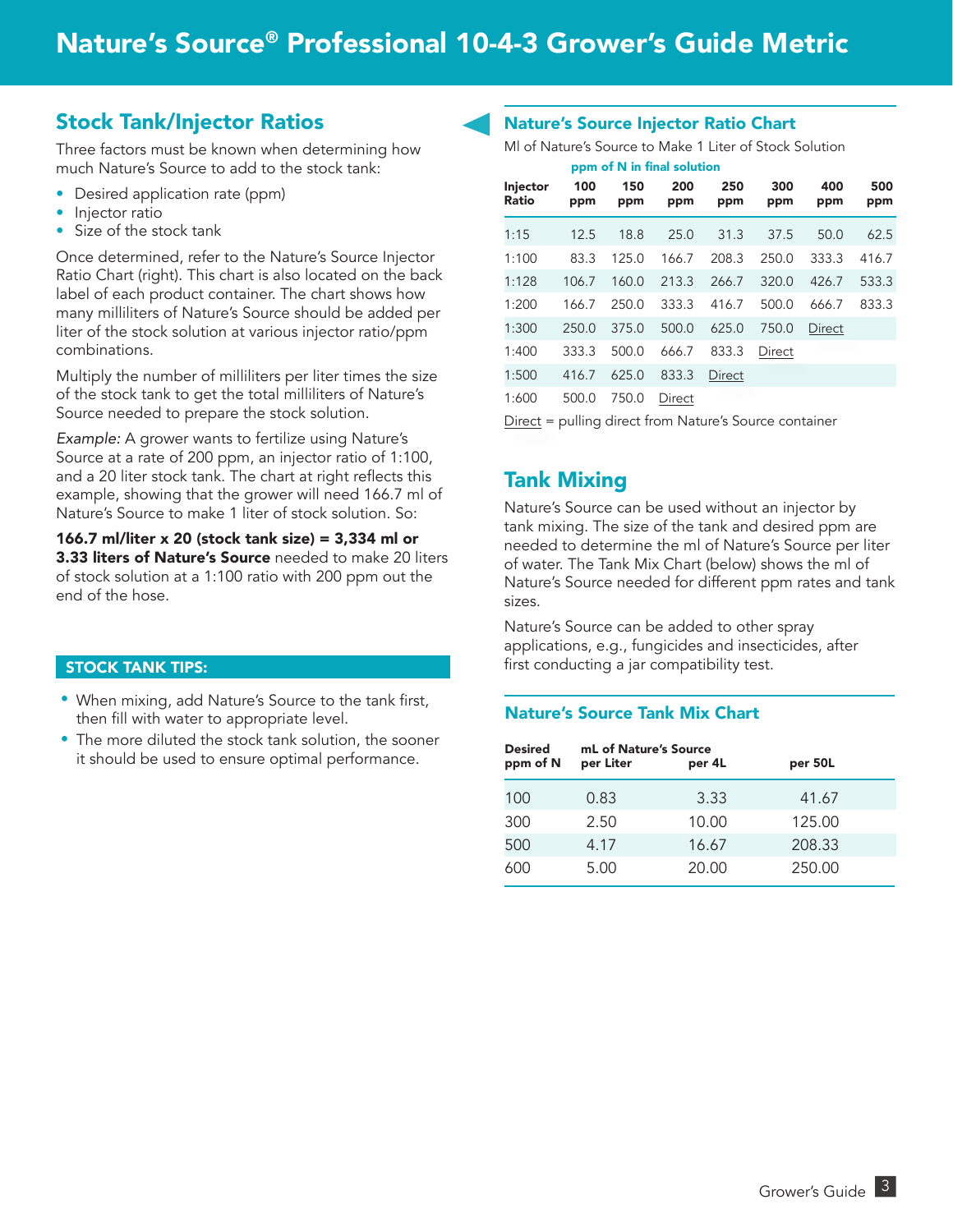### Stock Tank/Injector Ratios

Three factors must be known when determining how much Nature's Source to add to the stock tank:

- Desired application rate (ppm)
- Injector ratio
- Size of the stock tank

Once determined, refer to the Nature's Source Injector Ratio Chart (right). This chart is also located on the back label of each product container. The chart shows how many milliliters of Nature's Source should be added per liter of the stock solution at various injector ratio/ppm combinations.

Multiply the number of milliliters per liter times the size of the stock tank to get the total milliliters of Nature's Source needed to prepare the stock solution.

*Example:* A grower wants to fertilize using Nature's Source at a rate of 200 ppm, an injector ratio of 1:100, and a 20 liter stock tank. The chart at right reflects this example, showing that the grower will need 166.7 ml of Nature's Source to make 1 liter of stock solution. So:

#### 166.7 ml/liter x 20 (stock tank size) = 3,334 ml or 3.33 liters of Nature's Source needed to make 20 liters of stock solution at a 1:100 ratio with 200 ppm out the end of the hose.

#### STOCK TANK TIPS:

- When mixing, add Nature's Source to the tank first, then fill with water to appropriate level.
- The more diluted the stock tank solution, the sooner it should be used to ensure optimal performance.

#### Nature's Source Injector Ratio Chart

Ml of Nature's Source to Make 1 Liter of Stock Solution

|                          |            |            | ppm of N in final solution |            |            |            |            |
|--------------------------|------------|------------|----------------------------|------------|------------|------------|------------|
| <b>Injector</b><br>Ratio | 100<br>ppm | 150<br>ppm | 200<br>ppm                 | 250<br>ppm | 300<br>ppm | 400<br>ppm | 500<br>ppm |
| 1:15                     | 12.5       | 18.8       | 25.0                       | 31.3       | 37.5       | 50.0       | 62.5       |
| 1:100                    | 83.3       | 125.0      | 166.7                      | 208.3      | 250.0      | 333.3      | 416.7      |
| 1:128                    | 106.7      | 160.0      | 213.3                      | 266.7      | 320.0      | 426.7      | 533.3      |
| 1:200                    | 166.7      | 250.0      | 333.3                      | 416.7      | 500.0      | 666.7      | 833.3      |
| 1:300                    | 250.0      | 375.0      | 500.0                      | 625.0      | 750.0      | Direct     |            |
| 1:400                    | 333.3      | 500.0      | 666.7                      | 833.3      | Direct     |            |            |
| 1:500                    | 416.7      | 625.0      | 833.3                      | Direct     |            |            |            |
| 1:600                    | 500.0      | 750.0      | Direct                     |            |            |            |            |

Direct = pulling direct from Nature's Source container

### Tank Mixing

Nature's Source can be used without an injector by tank mixing. The size of the tank and desired ppm are needed to determine the ml of Nature's Source per liter of water. The Tank Mix Chart (below) shows the ml of Nature's Source needed for different ppm rates and tank sizes.

Nature's Source can be added to other spray applications, e.g., fungicides and insecticides, after first conducting a jar compatibility test.

#### Nature's Source Tank Mix Chart

| <b>Desired</b><br>ppm of N | mL of Nature's Source<br>per Liter | per 4L | per 50L |  |
|----------------------------|------------------------------------|--------|---------|--|
| 100                        | 0.83                               | 3.33   | 41.67   |  |
| 300                        | 2.50                               | 10.00  | 125.00  |  |
| 500                        | 4.17                               | 16.67  | 208.33  |  |
| 600                        | 5.00                               | 20.00  | 250.00  |  |